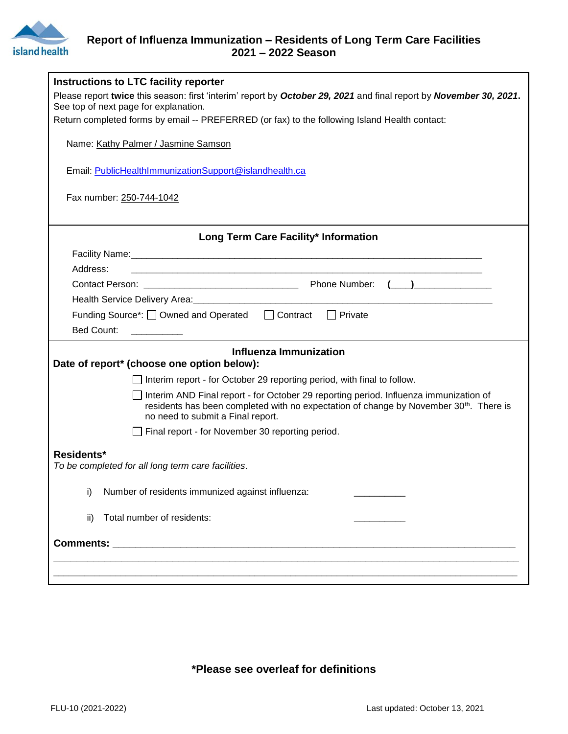

## **Report of Influenza Immunization – Residents of Long Term Care Facilities 2021 – 2022 Season**

| Instructions to LTC facility reporter                                                                                                                                                                                            |  |  |
|----------------------------------------------------------------------------------------------------------------------------------------------------------------------------------------------------------------------------------|--|--|
| Please report twice this season: first 'interim' report by October 29, 2021 and final report by November 30, 2021.                                                                                                               |  |  |
| See top of next page for explanation.                                                                                                                                                                                            |  |  |
| Return completed forms by email -- PREFERRED (or fax) to the following Island Health contact:                                                                                                                                    |  |  |
| Name: Kathy Palmer / Jasmine Samson                                                                                                                                                                                              |  |  |
| Email: PublicHealthImmunizationSupport@islandhealth.ca                                                                                                                                                                           |  |  |
| Fax number: 250-744-1042                                                                                                                                                                                                         |  |  |
|                                                                                                                                                                                                                                  |  |  |
| Long Term Care Facility* Information                                                                                                                                                                                             |  |  |
| Address:                                                                                                                                                                                                                         |  |  |
|                                                                                                                                                                                                                                  |  |  |
|                                                                                                                                                                                                                                  |  |  |
| Funding Source*: □ Owned and Operated □ Contract □ Private                                                                                                                                                                       |  |  |
| <b>Bed Count:</b>                                                                                                                                                                                                                |  |  |
|                                                                                                                                                                                                                                  |  |  |
| <b>Influenza Immunization</b><br>Date of report* (choose one option below):                                                                                                                                                      |  |  |
| Interim report - for October 29 reporting period, with final to follow.                                                                                                                                                          |  |  |
| Interim AND Final report - for October 29 reporting period. Influenza immunization of<br>residents has been completed with no expectation of change by November 30 <sup>th</sup> . There is<br>no need to submit a Final report. |  |  |
| Final report - for November 30 reporting period.                                                                                                                                                                                 |  |  |
| Residents*<br>To be completed for all long term care facilities.                                                                                                                                                                 |  |  |
| Number of residents immunized against influenza:<br>i)                                                                                                                                                                           |  |  |
| Total number of residents:<br>ii)                                                                                                                                                                                                |  |  |
|                                                                                                                                                                                                                                  |  |  |
|                                                                                                                                                                                                                                  |  |  |
|                                                                                                                                                                                                                                  |  |  |
|                                                                                                                                                                                                                                  |  |  |

## **\*Please see overleaf for definitions**